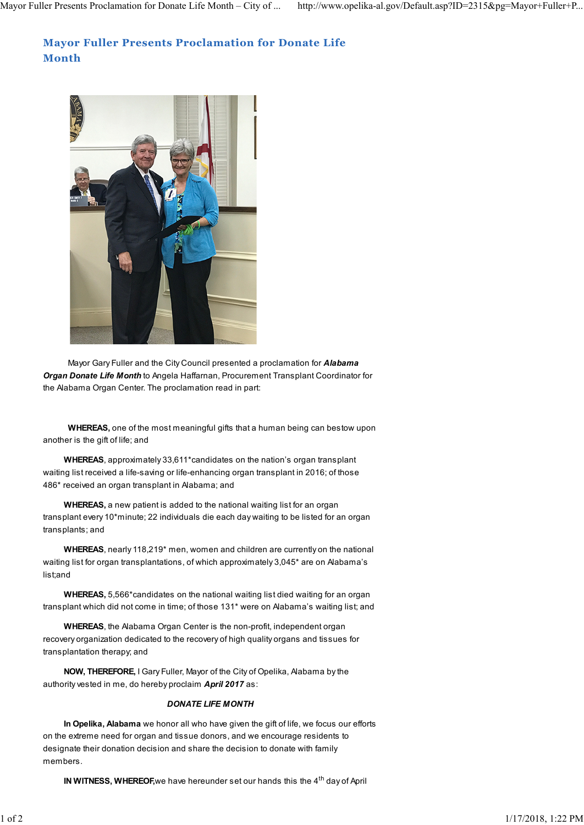## **Mayor Fuller Presents Proclamation for Donate Life Month**



Mayor Gary Fuller and the City Council presented a proclamation for *Alabama Organ Donate Life Month* to Angela Haffarnan, Procurement Transplant Coordinator for the Alabama Organ Center. The proclamation read in part:

**WHEREAS,** one of the most meaningful gifts that a human being can bestow upon another is the gift of life; and

**WHEREAS**, approximately 33,611\*candidates on the nation's organ transplant waiting list received a life-saving or life-enhancing organ transplant in 2016; of those 486\* received an organ transplant in Alabama; and

**WHEREAS,** a new patient is added to the national waiting list for an organ transplant every 10\*minute; 22 individuals die each day waiting to be listed for an organ transplants; and

**WHEREAS**, nearly 118,219\* men, women and children are currently on the national waiting list for organ transplantations, of which approximately 3,045\* are on Alabama's list;and

**WHEREAS,** 5,566\*candidates on the national waiting list died waiting for an organ transplant which did not come in time; of those 131\* were on Alabama's waiting list; and

**WHEREAS**, the Alabama Organ Center is the non-profit, independent organ recovery organization dedicated to the recovery of high quality organs and tissues for transplantation therapy; and

**NOW, THEREFORE,** I Gary Fuller, Mayor of the City of Opelika, Alabama by the authority vested in me, do hereby proclaim *April 2017* as:

## *DONATE LIFE MONTH*

**In Opelika, Alabama** we honor all who have given the gift of life, we focus our efforts on the extreme need for organ and tissue donors, and we encourage residents to designate their donation decision and share the decision to donate with family members.

**IN WITNESS, WHEREOF,** we have hereunder set our hands this the 4<sup>th</sup> day of April